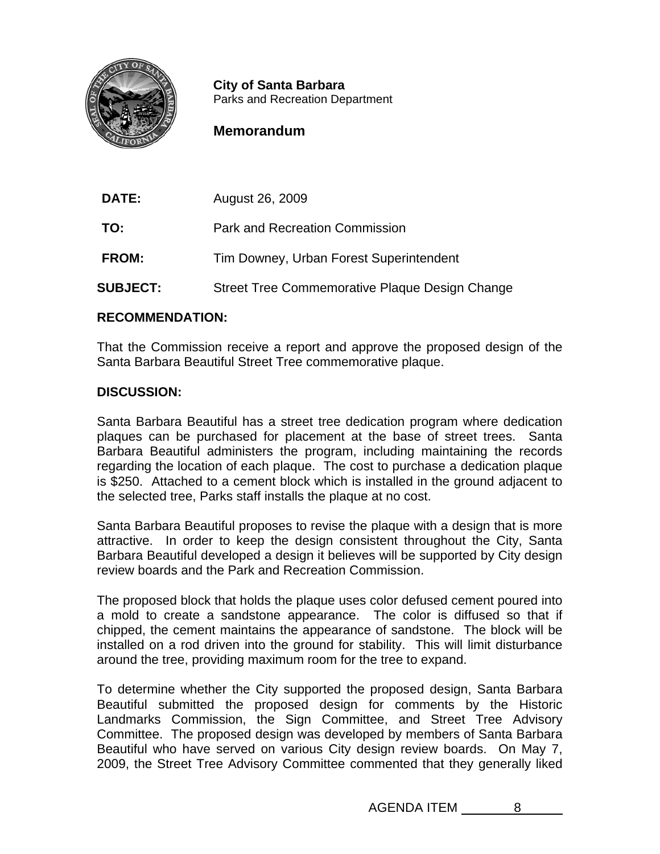

**City of Santa Barbara**<br>Parks and Recreation Department

## **Memorandum**

| <b>DATE:</b>    | August 26, 2009                                |
|-----------------|------------------------------------------------|
| TO:             | <b>Park and Recreation Commission</b>          |
| FROM:           | Tim Downey, Urban Forest Superintendent        |
| <b>SUBJECT:</b> | Street Tree Commemorative Plaque Design Change |

## **RECOMMENDATION:**

That the Commission receive a report and approve the proposed design of the Santa Barbara Beautiful Street Tree commemorative plaque.

## **DISCUSSION:**

Santa Barbara Beautiful has a street tree dedication program where dedication plaques can be purchased for placement at the base of street trees. Santa Barbara Beautiful administers the program, including maintaining the records regarding the location of each plaque. The cost to purchase a dedication plaque is \$250. Attached to a cement block which is installed in the ground adjacent to the selected tree, Parks staff installs the plaque at no cost.

Santa Barbara Beautiful proposes to revise the plaque with a design that is more attractive. In order to keep the design consistent throughout the City, Santa Barbara Beautiful developed a design it believes will be supported by City design review boards and the Park and Recreation Commission.

The proposed block that holds the plaque uses color defused cement poured into a mold to create a sandstone appearance. The color is diffused so that if chipped, the cement maintains the appearance of sandstone. The block will be installed on a rod driven into the ground for stability. This will limit disturbance around the tree, providing maximum room for the tree to expand.

To determine whether the City supported the proposed design, Santa Barbara Beautiful submitted the proposed design for comments by the Historic Landmarks Commission, the Sign Committee, and Street Tree Advisory Committee. The proposed design was developed by members of Santa Barbara Beautiful who have served on various City design review boards. On May 7, 2009, the Street Tree Advisory Committee commented that they generally liked

AGENDA ITEM 8